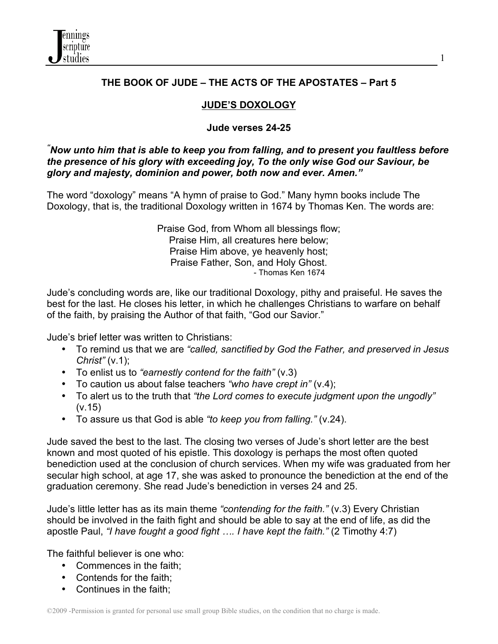

## **THE BOOK OF JUDE – THE ACTS OF THE APOSTATES – Part 5**

1

## **JUDE'S DOXOLOGY**

### **Jude verses 24-25**

*" Now unto him that is able to keep you from falling, and to present you faultless before the presence of his glory with exceeding joy, To the only wise God our Saviour, be glory and majesty, dominion and power, both now and ever. Amen."*

The word "doxology" means "A hymn of praise to God." Many hymn books include The Doxology, that is, the traditional Doxology written in 1674 by Thomas Ken. The words are:

> Praise God, from Whom all blessings flow; Praise Him, all creatures here below; Praise Him above, ye heavenly host; Praise Father, Son, and Holy Ghost. - Thomas Ken 1674

Jude's concluding words are, like our traditional Doxology, pithy and praiseful. He saves the best for the last. He closes his letter, in which he challenges Christians to warfare on behalf of the faith, by praising the Author of that faith, "God our Savior."

Jude's brief letter was written to Christians:

- To remind us that we are *"called, sanctified by God the Father, and preserved in Jesus Christ"* (v.1);
- To enlist us to *"earnestly contend for the faith"* (v.3)
- To caution us about false teachers *"who have crept in"* (v.4);
- To alert us to the truth that *"the Lord comes to execute judgment upon the ungodly"* (v.15)
- To assure us that God is able *"to keep you from falling."* (v.24).

Jude saved the best to the last. The closing two verses of Jude's short letter are the best known and most quoted of his epistle. This doxology is perhaps the most often quoted benediction used at the conclusion of church services. When my wife was graduated from her secular high school, at age 17, she was asked to pronounce the benediction at the end of the graduation ceremony. She read Jude's benediction in verses 24 and 25.

Jude's little letter has as its main theme *"contending for the faith."* (v.3) Every Christian should be involved in the faith fight and should be able to say at the end of life, as did the apostle Paul, *"I have fought a good fight …. I have kept the faith."* (2 Timothy 4:7)

The faithful believer is one who:

- Commences in the faith;
- Contends for the faith;
- Continues in the faith;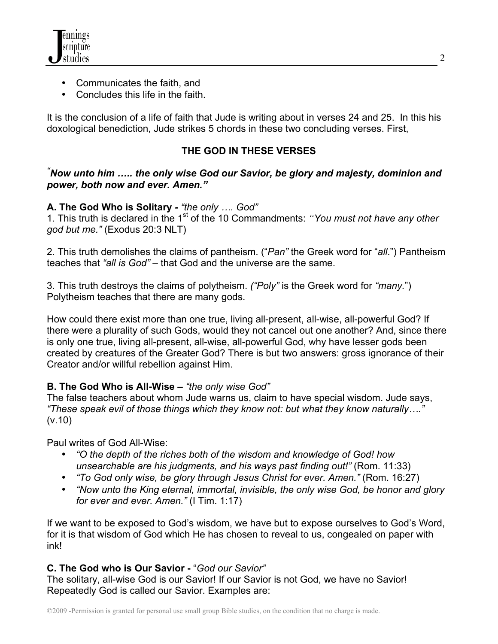

- Communicates the faith, and
- Concludes this life in the faith.

It is the conclusion of a life of faith that Jude is writing about in verses 24 and 25. In this his doxological benediction, Jude strikes 5 chords in these two concluding verses. First,

## **THE GOD IN THESE VERSES**

### *" Now unto him ….. the only wise God our Savior, be glory and majesty, dominion and power, both now and ever. Amen."*

## **A. The God Who is Solitary** *- "the only …. God"*

1. This truth is declared in the 1<sup>st</sup> of the 10 Commandments: *"You must not have any other god but me."* (Exodus 20:3 NLT)

2. This truth demolishes the claims of pantheism. ("*Pan"* the Greek word for "*all*.") Pantheism teaches that *"all is God" –* that God and the universe are the same.

3. This truth destroys the claims of polytheism. *("Poly"* is the Greek word for *"many.*") Polytheism teaches that there are many gods.

How could there exist more than one true, living all-present, all-wise, all-powerful God? If there were a plurality of such Gods, would they not cancel out one another? And, since there is only one true, living all-present, all-wise, all-powerful God, why have lesser gods been created by creatures of the Greater God? There is but two answers: gross ignorance of their Creator and/or willful rebellion against Him.

### **B. The God Who is All-Wise** *– "the only wise God"*

The false teachers about whom Jude warns us, claim to have special wisdom. Jude says, *"These speak evil of those things which they know not: but what they know naturally…."* (v.10)

Paul writes of God All-Wise:

- *"O the depth of the riches both of the wisdom and knowledge of God! how unsearchable are his judgments, and his ways past finding out!"* (Rom. 11:33)
- *"To God only wise, be glory through Jesus Christ for ever. Amen."* (Rom. 16:27)
- *"Now unto the King eternal, immortal, invisible, the only wise God, be honor and glory for ever and ever. Amen."* (I Tim. 1:17)

If we want to be exposed to God's wisdom, we have but to expose ourselves to God's Word, for it is that wisdom of God which He has chosen to reveal to us, congealed on paper with ink!

# **C. The God who is Our Savior -** "*God our Savior"*

The solitary, all-wise God is our Savior! If our Savior is not God, we have no Savior! Repeatedly God is called our Savior. Examples are: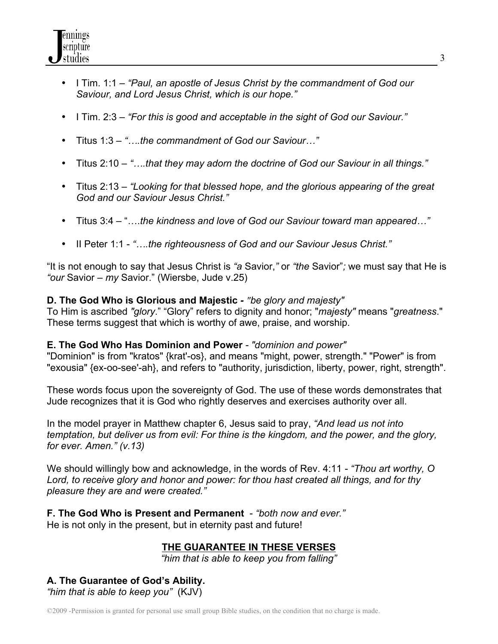- I Tim. 1:1 *"Paul, an apostle of Jesus Christ by the commandment of God our Saviour, and Lord Jesus Christ, which is our hope."*
- I Tim. 2:3 *"For this is good and acceptable in the sight of God our Saviour."*
- Titus 1:3 *"….the commandment of God our Saviour…"*
- Titus 2:10 *"….that they may adorn the doctrine of God our Saviour in all things."*
- Titus 2:13 *"Looking for that blessed hope, and the glorious appearing of the great God and our Saviour Jesus Christ."*
- Titus 3:4 "….*the kindness and love of God our Saviour toward man appeared…"*
- II Peter 1:1 *"….the righteousness of God and our Saviour Jesus Christ."*

"It is not enough to say that Jesus Christ is *"a* Savior,*"* or *"the* Savior"*;* we must say that He is *"our* Savior – *my* Savior." (Wiersbe, Jude v.25)

# **D. The God Who is Glorious and Majestic** *- "be glory and majesty"*

To Him is ascribed *"glory*." "Glory" refers to dignity and honor; "*majesty"* means "*greatness*." These terms suggest that which is worthy of awe, praise, and worship.

# **E. The God Who Has Dominion and Power** *- "dominion and power"*

"Dominion" is from "kratos" {krat'-os}, and means "might, power, strength." "Power" is from "exousia" {ex-oo-see'-ah}, and refers to "authority, jurisdiction, liberty, power, right, strength".

These words focus upon the sovereignty of God. The use of these words demonstrates that Jude recognizes that it is God who rightly deserves and exercises authority over all.

In the model prayer in Matthew chapter 6, Jesus said to pray, *"And lead us not into temptation, but deliver us from evil: For thine is the kingdom, and the power, and the glory, for ever. Amen." (v.13)*

We should willingly bow and acknowledge, in the words of Rev. 4:11 *- "Thou art worthy, O Lord, to receive glory and honor and power: for thou hast created all things, and for thy pleasure they are and were created."*

**F. The God Who is Present and Permanent** - *"both now and ever."* He is not only in the present, but in eternity past and future!

# **THE GUARANTEE IN THESE VERSES**

*"him that is able to keep you from falling"*

### **A. The Guarantee of God's Ability.** *"him that is able to keep you"* (KJV)

©2009 -Permission is granted for personal use small group Bible studies, on the condition that no charge is made.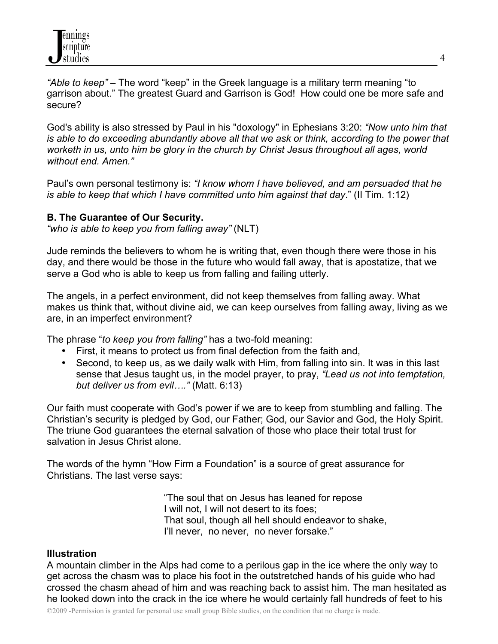*"Able to keep"* – The word "keep" in the Greek language is a military term meaning "to garrison about." The greatest Guard and Garrison is God! How could one be more safe and secure?

God's ability is also stressed by Paul in his "doxology" in Ephesians 3:20: *"Now unto him that is able to do exceeding abundantly above all that we ask or think, according to the power that worketh in us, unto him be glory in the church by Christ Jesus throughout all ages, world without end. Amen."*

Paul's own personal testimony is: *"I know whom I have believed, and am persuaded that he is able to keep that which I have committed unto him against that day*." (II Tim. 1:12)

### **B. The Guarantee of Our Security.**

*"who is able to keep you from falling away"* (NLT)

Jude reminds the believers to whom he is writing that, even though there were those in his day, and there would be those in the future who would fall away, that is apostatize, that we serve a God who is able to keep us from falling and failing utterly.

The angels, in a perfect environment, did not keep themselves from falling away. What makes us think that, without divine aid, we can keep ourselves from falling away, living as we are, in an imperfect environment?

The phrase "*to keep you from falling"* has a two-fold meaning:

- First, it means to protect us from final defection from the faith and,
- Second, to keep us, as we daily walk with Him, from falling into sin. It was in this last sense that Jesus taught us, in the model prayer, to pray, *"Lead us not into temptation, but deliver us from evil…."* (Matt. 6:13)

Our faith must cooperate with God's power if we are to keep from stumbling and falling. The Christian's security is pledged by God, our Father; God, our Savior and God, the Holy Spirit. The triune God guarantees the eternal salvation of those who place their total trust for salvation in Jesus Christ alone.

The words of the hymn "How Firm a Foundation" is a source of great assurance for Christians. The last verse says:

> "The soul that on Jesus has leaned for repose I will not, I will not desert to its foes; That soul, though all hell should endeavor to shake, I'll never, no never, no never forsake."

#### **Illustration**

A mountain climber in the Alps had come to a perilous gap in the ice where the only way to get across the chasm was to place his foot in the outstretched hands of his guide who had crossed the chasm ahead of him and was reaching back to assist him. The man hesitated as he looked down into the crack in the ice where he would certainly fall hundreds of feet to his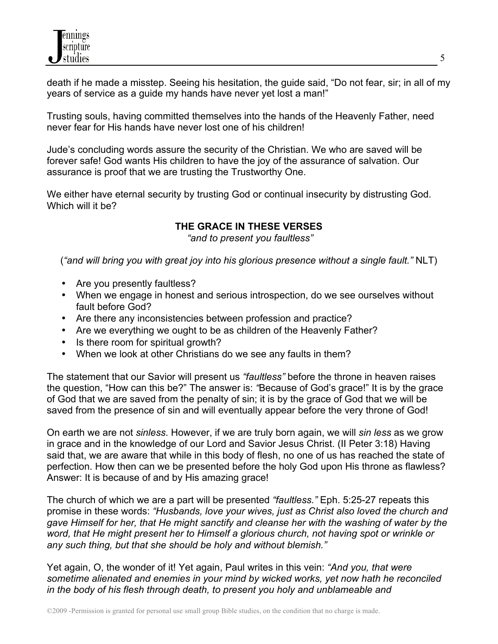death if he made a misstep. Seeing his hesitation, the guide said, "Do not fear, sir; in all of my years of service as a guide my hands have never yet lost a man!"

Trusting souls, having committed themselves into the hands of the Heavenly Father, need never fear for His hands have never lost one of his children!

Jude's concluding words assure the security of the Christian. We who are saved will be forever safe! God wants His children to have the joy of the assurance of salvation. Our assurance is proof that we are trusting the Trustworthy One.

We either have eternal security by trusting God or continual insecurity by distrusting God. Which will it be?

# **THE GRACE IN THESE VERSES**

*"and to present you faultless"*

(*"and will bring you with great joy into his glorious presence without a single fault."* NLT)

- Are you presently faultless?
- When we engage in honest and serious introspection, do we see ourselves without fault before God?
- Are there any inconsistencies between profession and practice?
- Are we everything we ought to be as children of the Heavenly Father?
- Is there room for spiritual growth?
- When we look at other Christians do we see any faults in them?

The statement that our Savior will present us *"faultless"* before the throne in heaven raises the question, "How can this be?" The answer is: *"*Because of God's grace!" It is by the grace of God that we are saved from the penalty of sin; it is by the grace of God that we will be saved from the presence of sin and will eventually appear before the very throne of God!

On earth we are not *sinless*. However, if we are truly born again, we will *sin less* as we grow in grace and in the knowledge of our Lord and Savior Jesus Christ. (II Peter 3:18) Having said that, we are aware that while in this body of flesh, no one of us has reached the state of perfection. How then can we be presented before the holy God upon His throne as flawless? Answer: It is because of and by His amazing grace!

The church of which we are a part will be presented *"faultless."* Eph. 5:25-27 repeats this promise in these words: *"Husbands, love your wives, just as Christ also loved the church and gave Himself for her, that He might sanctify and cleanse her with the washing of water by the word, that He might present her to Himself a glorious church, not having spot or wrinkle or any such thing, but that she should be holy and without blemish."*

Yet again, O, the wonder of it! Yet again, Paul writes in this vein: *"And you, that were sometime alienated and enemies in your mind by wicked works, yet now hath he reconciled in the body of his flesh through death, to present you holy and unblameable and*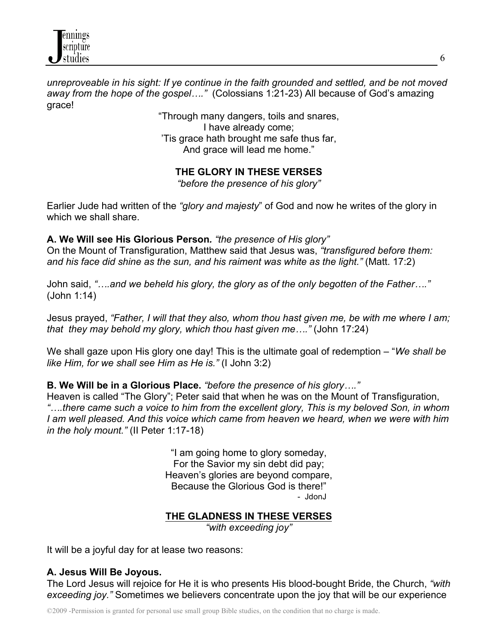

*unreproveable in his sight: If ye continue in the faith grounded and settled, and be not moved away from the hope of the gospel…."* (Colossians 1:21-23) All because of God's amazing grace!

> "Through many dangers, toils and snares, I have already come; 'Tis grace hath brought me safe thus far, And grace will lead me home."

**THE GLORY IN THESE VERSES**

*"before the presence of his glory"*

Earlier Jude had written of the *"glory and majesty*" of God and now he writes of the glory in which we shall share.

**A. We Will see His Glorious Person***. "the presence of His glory"* 

On the Mount of Transfiguration, Matthew said that Jesus was, *"transfigured before them: and his face did shine as the sun, and his raiment was white as the light."* (Matt. 17:2)

John said, *"….and we beheld his glory, the glory as of the only begotten of the Father…."* (John 1:14)

Jesus prayed, *"Father, I will that they also, whom thou hast given me, be with me where I am; that they may behold my glory, which thou hast given me…."* (John 17:24)

We shall gaze upon His glory one day! This is the ultimate goal of redemption – "*We shall be like Him, for we shall see Him as He is."* (I John 3:2)

**B. We Will be in a Glorious Place.** *"before the presence of his glory…."*

Heaven is called "The Glory"; Peter said that when he was on the Mount of Transfiguration, *"….there came such a voice to him from the excellent glory, This is my beloved Son, in whom I am well pleased. And this voice which came from heaven we heard, when we were with him in the holy mount."* (II Peter 1:17-18)

> "I am going home to glory someday, For the Savior my sin debt did pay; Heaven's glories are beyond compare, Because the Glorious God is there!" - JdonJ

### **THE GLADNESS IN THESE VERSES**

*"with exceeding joy"*

It will be a joyful day for at lease two reasons:

### **A. Jesus Will Be Joyous.**

The Lord Jesus will rejoice for He it is who presents His blood-bought Bride, the Church, *"with exceeding joy."* Sometimes we believers concentrate upon the joy that will be our experience